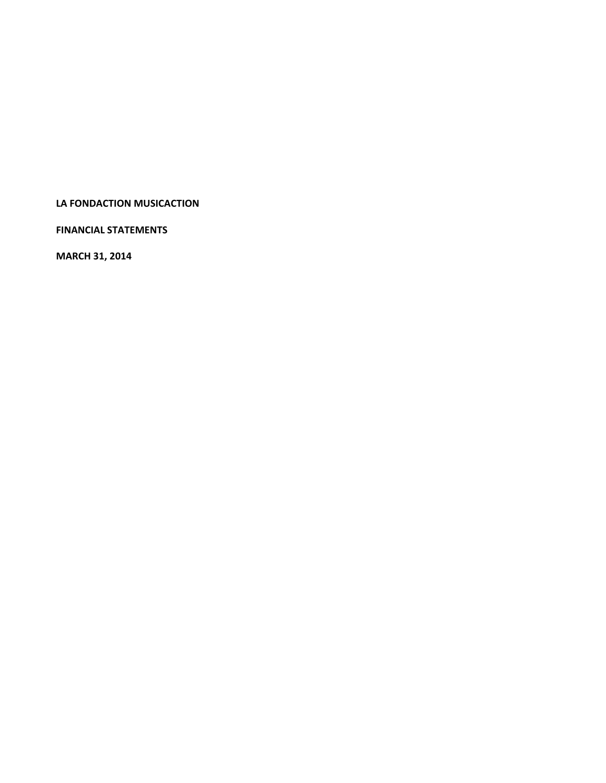**FINANCIAL STATEMENTS**

**MARCH 31, 2014**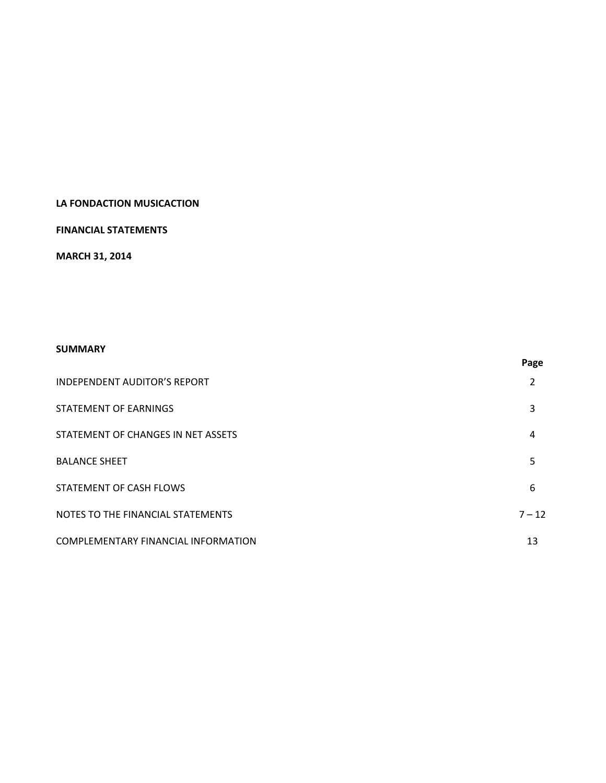# **FINANCIAL STATEMENTS**

# **MARCH 31, 2014**

# **SUMMARY**

|                                     | Page     |
|-------------------------------------|----------|
| <b>INDEPENDENT AUDITOR'S REPORT</b> | 2        |
| STATEMENT OF EARNINGS               | 3        |
| STATEMENT OF CHANGES IN NET ASSETS  | 4        |
| <b>BALANCE SHEET</b>                | 5        |
| STATEMENT OF CASH FLOWS             | 6        |
| NOTES TO THE FINANCIAL STATEMENTS   | $7 - 12$ |
| COMPLEMENTARY FINANCIAL INFORMATION | 13       |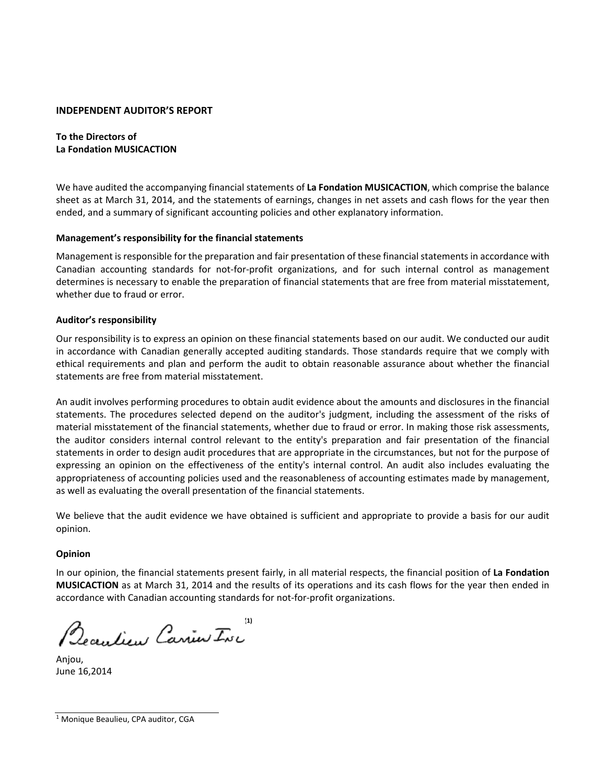#### **INDEPENDENT AUDITOR'S REPORT**

# **To the Directors of La Fondation MUSICACTION**

We have audited the accompanying financial statements of **La Fondation MUSICACTION**, which comprise the balance sheet as at March 31, 2014, and the statements of earnings, changes in net assets and cash flows for the year then ended, and a summary of significant accounting policies and other explanatory information.

#### **Management's responsibility for the financial statements**

Management is responsible for the preparation and fair presentation of these financial statements in accordance with Canadian accounting standards for not‐for‐profit organizations, and for such internal control as management determines is necessary to enable the preparation of financial statements that are free from material misstatement, whether due to fraud or error.

#### **Auditor's responsibility**

Our responsibility is to express an opinion on these financial statements based on our audit. We conducted our audit in accordance with Canadian generally accepted auditing standards. Those standards require that we comply with ethical requirements and plan and perform the audit to obtain reasonable assurance about whether the financial statements are free from material misstatement.

An audit involves performing procedures to obtain audit evidence about the amounts and disclosures in the financial statements. The procedures selected depend on the auditor's judgment, including the assessment of the risks of material misstatement of the financial statements, whether due to fraud or error. In making those risk assessments, the auditor considers internal control relevant to the entity's preparation and fair presentation of the financial statements in order to design audit procedures that are appropriate in the circumstances, but not for the purpose of expressing an opinion on the effectiveness of the entity's internal control. An audit also includes evaluating the appropriateness of accounting policies used and the reasonableness of accounting estimates made by management, as well as evaluating the overall presentation of the financial statements.

We believe that the audit evidence we have obtained is sufficient and appropriate to provide a basis for our audit opinion.

#### **Opinion**

In our opinion, the financial statements present fairly, in all material respects, the financial position of **La Fondation MUSICACTION** as at March 31, 2014 and the results of its operations and its cash flows for the year then ended in accordance with Canadian accounting standards for not‐for‐profit organizations.

Beautien Carrier Ise

Aniou. June 16,2014

<sup>&</sup>lt;sup>1</sup> Monique Beaulieu, CPA auditor, CGA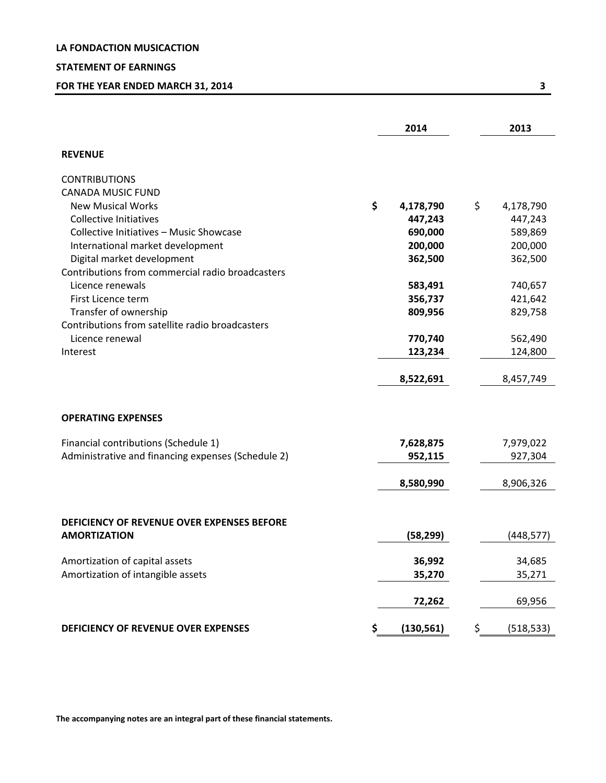# **STATEMENT OF EARNINGS**

# **FOR THE YEAR ENDED MARCH 31, 2014 3**

|                                                    | 2014             | 2013             |
|----------------------------------------------------|------------------|------------------|
| <b>REVENUE</b>                                     |                  |                  |
| <b>CONTRIBUTIONS</b>                               |                  |                  |
| <b>CANADA MUSIC FUND</b>                           |                  |                  |
| <b>New Musical Works</b>                           | \$<br>4,178,790  | \$<br>4,178,790  |
| <b>Collective Initiatives</b>                      | 447,243          | 447,243          |
| Collective Initiatives - Music Showcase            | 690,000          | 589,869          |
| International market development                   | 200,000          | 200,000          |
| Digital market development                         | 362,500          | 362,500          |
| Contributions from commercial radio broadcasters   |                  |                  |
| Licence renewals                                   | 583,491          | 740,657          |
| First Licence term                                 | 356,737          | 421,642          |
| Transfer of ownership                              | 809,956          | 829,758          |
| Contributions from satellite radio broadcasters    |                  |                  |
| Licence renewal                                    | 770,740          | 562,490          |
| Interest                                           | 123,234          | 124,800          |
|                                                    |                  |                  |
|                                                    | 8,522,691        | 8,457,749        |
| <b>OPERATING EXPENSES</b>                          |                  |                  |
| Financial contributions (Schedule 1)               | 7,628,875        | 7,979,022        |
| Administrative and financing expenses (Schedule 2) | 952,115          | 927,304          |
|                                                    | 8,580,990        | 8,906,326        |
|                                                    |                  |                  |
| DEFICIENCY OF REVENUE OVER EXPENSES BEFORE         |                  |                  |
| <b>AMORTIZATION</b>                                | (58, 299)        | (448,577)        |
| Amortization of capital assets                     | 36,992           | 34,685           |
| Amortization of intangible assets                  | 35,270           | 35,271           |
|                                                    |                  |                  |
|                                                    | 72,262           | 69,956           |
| DEFICIENCY OF REVENUE OVER EXPENSES                | \$<br>(130, 561) | \$<br>(518, 533) |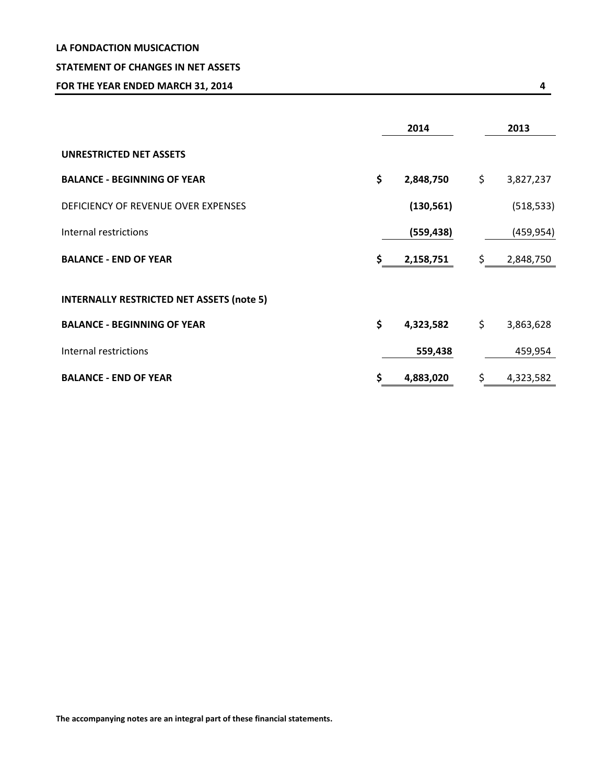# **STATEMENT OF CHANGES IN NET ASSETS**

**FOR THE YEAR ENDED MARCH 31, 2014 4**

|                                                  | 2014            |          | 2013       |
|--------------------------------------------------|-----------------|----------|------------|
| <b>UNRESTRICTED NET ASSETS</b>                   |                 |          |            |
| <b>BALANCE - BEGINNING OF YEAR</b>               | \$<br>2,848,750 | \$       | 3,827,237  |
| DEFICIENCY OF REVENUE OVER EXPENSES              | (130, 561)      |          | (518, 533) |
| Internal restrictions                            | (559, 438)      |          | (459, 954) |
| <b>BALANCE - END OF YEAR</b>                     | \$<br>2,158,751 | \$       | 2,848,750  |
| <b>INTERNALLY RESTRICTED NET ASSETS (note 5)</b> |                 |          |            |
| <b>BALANCE - BEGINNING OF YEAR</b>               | \$<br>4,323,582 | $\sharp$ | 3,863,628  |
| Internal restrictions                            | 559,438         |          | 459,954    |
| <b>BALANCE - END OF YEAR</b>                     | \$<br>4,883,020 | \$.      | 4,323,582  |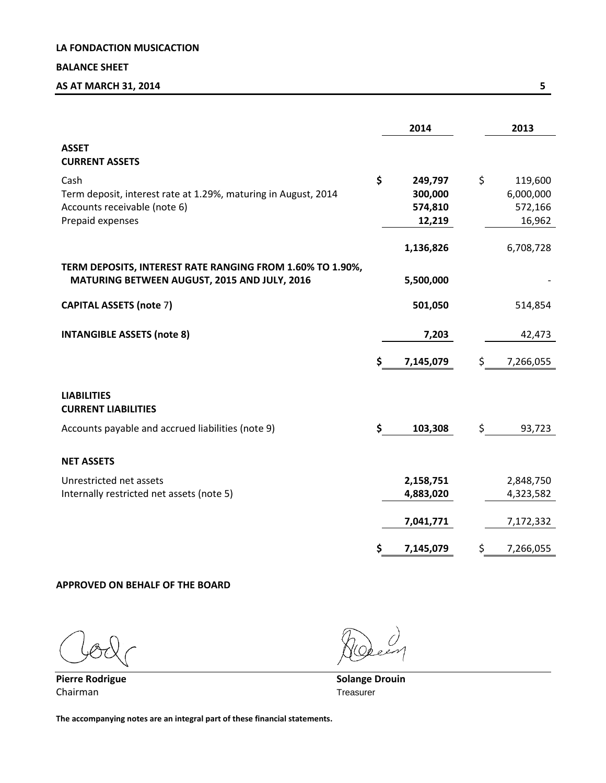## **BALANCE SHEET**

#### **AS AT MARCH 31, 2014 5**

|                                                                                                                            | 2014                                          | 2013                                            |
|----------------------------------------------------------------------------------------------------------------------------|-----------------------------------------------|-------------------------------------------------|
| <b>ASSET</b><br><b>CURRENT ASSETS</b>                                                                                      |                                               |                                                 |
| Cash<br>Term deposit, interest rate at 1.29%, maturing in August, 2014<br>Accounts receivable (note 6)<br>Prepaid expenses | \$<br>249,797<br>300,000<br>574,810<br>12,219 | \$<br>119,600<br>6,000,000<br>572,166<br>16,962 |
|                                                                                                                            | 1,136,826                                     | 6,708,728                                       |
| TERM DEPOSITS, INTEREST RATE RANGING FROM 1.60% TO 1.90%,<br>MATURING BETWEEN AUGUST, 2015 AND JULY, 2016                  | 5,500,000                                     |                                                 |
| <b>CAPITAL ASSETS (note 7)</b>                                                                                             | 501,050                                       | 514,854                                         |
| <b>INTANGIBLE ASSETS (note 8)</b>                                                                                          | 7,203                                         | 42,473                                          |
|                                                                                                                            | \$<br>7,145,079                               | \$<br>7,266,055                                 |
| <b>LIABILITIES</b><br><b>CURRENT LIABILITIES</b>                                                                           |                                               |                                                 |
| Accounts payable and accrued liabilities (note 9)                                                                          | \$<br>103,308                                 | \$<br>93,723                                    |
| <b>NET ASSETS</b>                                                                                                          |                                               |                                                 |
| Unrestricted net assets<br>Internally restricted net assets (note 5)                                                       | 2,158,751<br>4,883,020                        | 2,848,750<br>4,323,582                          |
|                                                                                                                            | 7,041,771                                     | 7,172,332                                       |
|                                                                                                                            | \$<br>7,145,079                               | \$<br>7,266,055                                 |

## **APPROVED ON BEHALF OF THE BOARD**

Chairman Treasurer

**Pierre Rodrigue Constanting Constanting Constanting Constanting Constanting Constanting Constanting Constanting Constanting Constanting Constanting Constanting Constanting Constanting Constanting Constanting Constanting**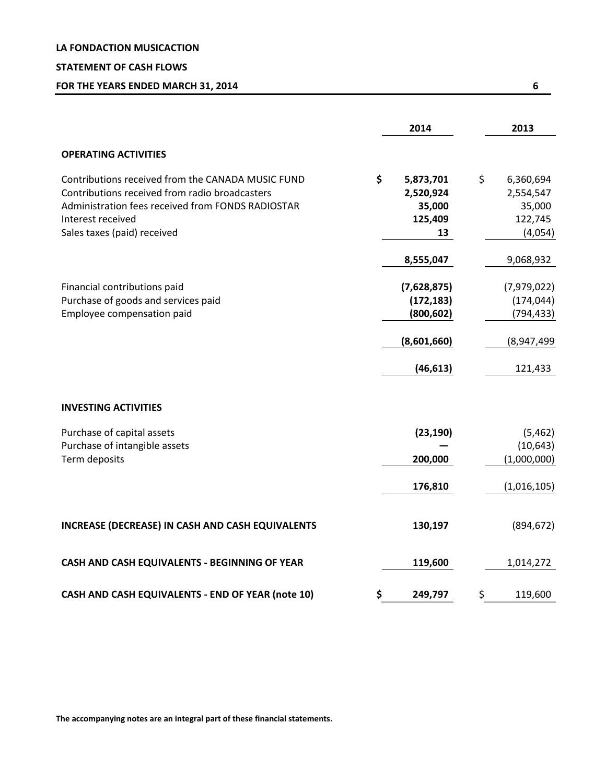# **STATEMENT OF CASH FLOWS**

**FOR THE YEARS ENDED MARCH 31, 2014 6**

|                                                                                                     | 2014                         | 2013                         |
|-----------------------------------------------------------------------------------------------------|------------------------------|------------------------------|
| <b>OPERATING ACTIVITIES</b>                                                                         |                              |                              |
| Contributions received from the CANADA MUSIC FUND<br>Contributions received from radio broadcasters | \$<br>5,873,701<br>2,520,924 | \$<br>6,360,694<br>2,554,547 |
| Administration fees received from FONDS RADIOSTAR                                                   | 35,000                       | 35,000                       |
| Interest received                                                                                   | 125,409                      | 122,745                      |
| Sales taxes (paid) received                                                                         | 13                           | (4,054)                      |
|                                                                                                     | 8,555,047                    | 9,068,932                    |
| Financial contributions paid                                                                        | (7,628,875)                  | (7,979,022)                  |
| Purchase of goods and services paid                                                                 | (172, 183)                   | (174, 044)                   |
| Employee compensation paid                                                                          | (800, 602)                   | (794, 433)                   |
|                                                                                                     | (8,601,660)                  | (8,947,499)                  |
|                                                                                                     | (46, 613)                    | 121,433                      |
| <b>INVESTING ACTIVITIES</b>                                                                         |                              |                              |
| Purchase of capital assets                                                                          | (23, 190)                    | (5, 462)                     |
| Purchase of intangible assets                                                                       |                              | (10, 643)                    |
| Term deposits                                                                                       | 200,000                      | (1,000,000)                  |
|                                                                                                     | 176,810                      | (1,016,105)                  |
| <b>INCREASE (DECREASE) IN CASH AND CASH EQUIVALENTS</b>                                             | 130,197                      | (894, 672)                   |
| CASH AND CASH EQUIVALENTS - BEGINNING OF YEAR                                                       | 119,600                      | 1,014,272                    |
| <b>CASH AND CASH EQUIVALENTS - END OF YEAR (note 10)</b>                                            | \$<br>249,797                | \$<br>119,600                |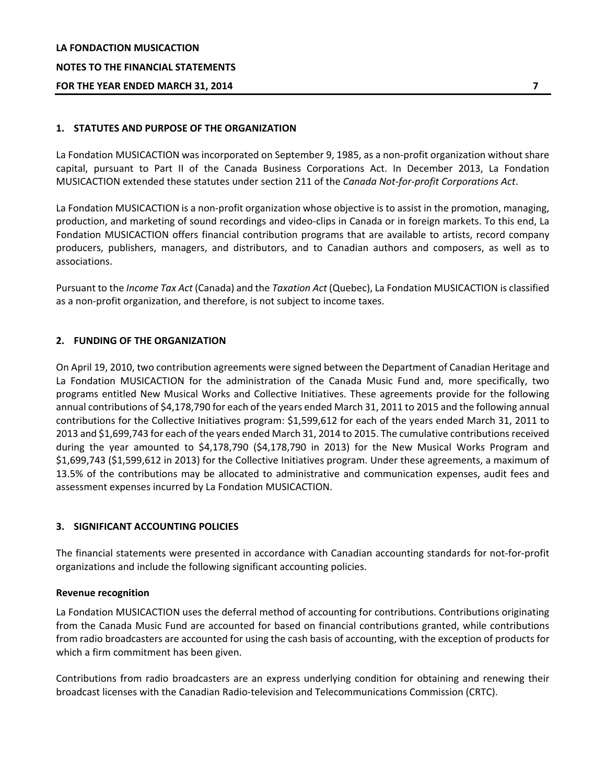# **LA FONDACTION MUSICACTION NOTES TO THE FINANCIAL STATEMENTS FOR THE YEAR ENDED MARCH 31, 2014 7**

# **1. STATUTES AND PURPOSE OF THE ORGANIZATION**

La Fondation MUSICACTION was incorporated on September 9, 1985, as a non-profit organization without share capital, pursuant to Part II of the Canada Business Corporations Act. In December 2013, La Fondation MUSICACTION extended these statutes under section 211 of the *Canada Not‐for‐profit Corporations Act*.

La Fondation MUSICACTION is a non‐profit organization whose objective is to assist in the promotion, managing, production, and marketing of sound recordings and video‐clips in Canada or in foreign markets. To this end, La Fondation MUSICACTION offers financial contribution programs that are available to artists, record company producers, publishers, managers, and distributors, and to Canadian authors and composers, as well as to associations.

Pursuant to the *Income Tax Act* (Canada) and the *Taxation Act* (Quebec), La Fondation MUSICACTION is classified as a non‐profit organization, and therefore, is not subject to income taxes.

# **2. FUNDING OF THE ORGANIZATION**

On April 19, 2010, two contribution agreements were signed between the Department of Canadian Heritage and La Fondation MUSICACTION for the administration of the Canada Music Fund and, more specifically, two programs entitled New Musical Works and Collective Initiatives. These agreements provide for the following annual contributions of \$4,178,790 for each of the years ended March 31, 2011 to 2015 and the following annual contributions for the Collective Initiatives program: \$1,599,612 for each of the years ended March 31, 2011 to 2013 and \$1,699,743 for each of the years ended March 31, 2014 to 2015. The cumulative contributions received during the year amounted to \$4,178,790 (\$4,178,790 in 2013) for the New Musical Works Program and \$1,699,743 (\$1,599,612 in 2013) for the Collective Initiatives program. Under these agreements, a maximum of 13.5% of the contributions may be allocated to administrative and communication expenses, audit fees and assessment expenses incurred by La Fondation MUSICACTION.

# **3. SIGNIFICANT ACCOUNTING POLICIES**

The financial statements were presented in accordance with Canadian accounting standards for not‐for‐profit organizations and include the following significant accounting policies.

# **Revenue recognition**

La Fondation MUSICACTION uses the deferral method of accounting for contributions. Contributions originating from the Canada Music Fund are accounted for based on financial contributions granted, while contributions from radio broadcasters are accounted for using the cash basis of accounting, with the exception of products for which a firm commitment has been given.

Contributions from radio broadcasters are an express underlying condition for obtaining and renewing their broadcast licenses with the Canadian Radio‐television and Telecommunications Commission (CRTC).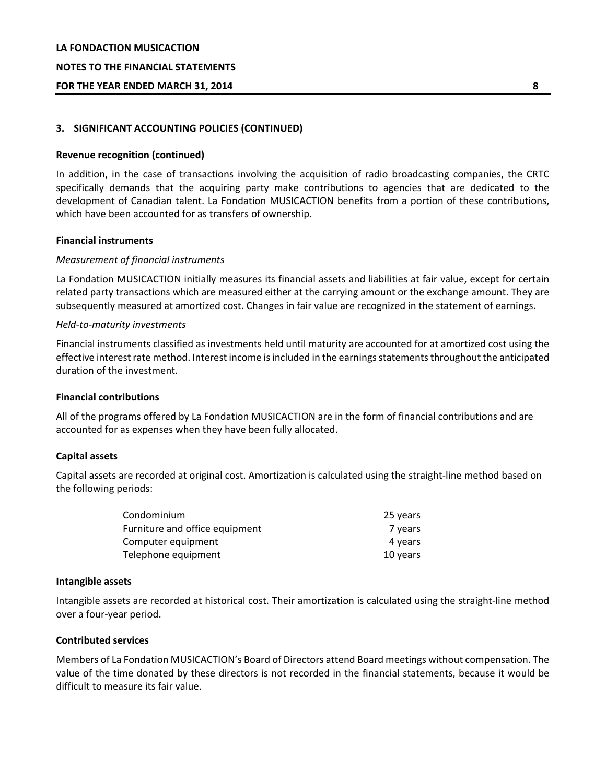#### **NOTES TO THE FINANCIAL STATEMENTS**

#### **FOR THE YEAR ENDED MARCH 31, 2014 8**

#### **3. SIGNIFICANT ACCOUNTING POLICIES (CONTINUED)**

#### **Revenue recognition (continued)**

In addition, in the case of transactions involving the acquisition of radio broadcasting companies, the CRTC specifically demands that the acquiring party make contributions to agencies that are dedicated to the development of Canadian talent. La Fondation MUSICACTION benefits from a portion of these contributions, which have been accounted for as transfers of ownership.

#### **Financial instruments**

#### *Measurement of financial instruments*

La Fondation MUSICACTION initially measures its financial assets and liabilities at fair value, except for certain related party transactions which are measured either at the carrying amount or the exchange amount. They are subsequently measured at amortized cost. Changes in fair value are recognized in the statement of earnings.

#### *Held‐to‐maturity investments*

Financial instruments classified as investments held until maturity are accounted for at amortized cost using the effective interest rate method. Interest income is included in the earnings statements throughout the anticipated duration of the investment.

#### **Financial contributions**

All of the programs offered by La Fondation MUSICACTION are in the form of financial contributions and are accounted for as expenses when they have been fully allocated.

#### **Capital assets**

Capital assets are recorded at original cost. Amortization is calculated using the straight‐line method based on the following periods:

| 25 years |
|----------|
| 7 years  |
| 4 years  |
| 10 years |
|          |

#### **Intangible assets**

Intangible assets are recorded at historical cost. Their amortization is calculated using the straight‐line method over a four‐year period.

#### **Contributed services**

Members of La Fondation MUSICACTION's Board of Directors attend Board meetings without compensation. The value of the time donated by these directors is not recorded in the financial statements, because it would be difficult to measure its fair value.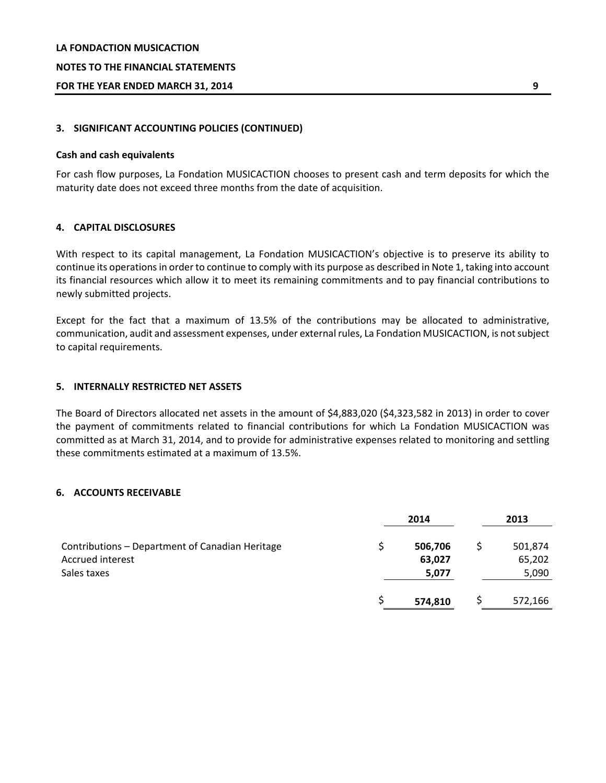#### **NOTES TO THE FINANCIAL STATEMENTS**

# **FOR THE YEAR ENDED MARCH 31, 2014 9**

## **3. SIGNIFICANT ACCOUNTING POLICIES (CONTINUED)**

#### **Cash and cash equivalents**

For cash flow purposes, La Fondation MUSICACTION chooses to present cash and term deposits for which the maturity date does not exceed three months from the date of acquisition.

# **4. CAPITAL DISCLOSURES**

With respect to its capital management, La Fondation MUSICACTION's objective is to preserve its ability to continue its operationsin order to continue to comply with its purpose as described in Note 1, taking into account its financial resources which allow it to meet its remaining commitments and to pay financial contributions to newly submitted projects.

Except for the fact that a maximum of 13.5% of the contributions may be allocated to administrative, communication, audit and assessment expenses, under externalrules, La Fondation MUSICACTION, is notsubject to capital requirements.

#### **5. INTERNALLY RESTRICTED NET ASSETS**

The Board of Directors allocated net assets in the amount of \$4,883,020 (\$4,323,582 in 2013) in order to cover the payment of commitments related to financial contributions for which La Fondation MUSICACTION was committed as at March 31, 2014, and to provide for administrative expenses related to monitoring and settling these commitments estimated at a maximum of 13.5%.

#### **6. ACCOUNTS RECEIVABLE**

|                                                 | 2014    | 2013    |
|-------------------------------------------------|---------|---------|
| Contributions - Department of Canadian Heritage | 506,706 | 501,874 |
| Accrued interest                                | 63,027  | 65,202  |
| Sales taxes                                     | 5,077   | 5,090   |
|                                                 |         |         |
|                                                 | 574,810 | 572,166 |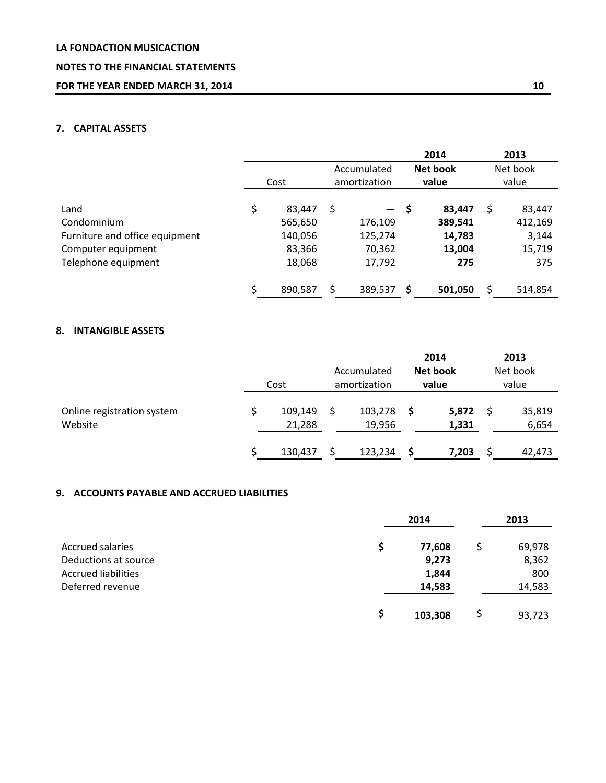# **NOTES TO THE FINANCIAL STATEMENTS**

# **FOR THE YEAR ENDED MARCH 31, 2014 10**

## **7. CAPITAL ASSETS**

|                                | Cost         |    | Accumulated<br>amortization |      | 2014<br><b>Net book</b><br>value | 2013<br>Net book<br>value |
|--------------------------------|--------------|----|-----------------------------|------|----------------------------------|---------------------------|
|                                |              |    |                             |      |                                  |                           |
| Land                           | \$<br>83,447 | \$ |                             | - \$ | 83.447                           | \$<br>83,447              |
| Condominium                    | 565,650      |    | 176,109                     |      | 389,541                          | 412,169                   |
| Furniture and office equipment | 140,056      |    | 125,274                     |      | 14,783                           | 3,144                     |
| Computer equipment             | 83,366       |    | 70,362                      |      | 13,004                           | 15,719                    |
| Telephone equipment            | 18,068       |    | 17,792                      |      | 275                              | 375                       |
|                                | 890,587      | Ś  | 389,537                     | \$   | 501,050                          | \$<br>514,854             |

# **8. INTANGIBLE ASSETS**

|                                       |                   |                             |          | 2014                     | 2013              |
|---------------------------------------|-------------------|-----------------------------|----------|--------------------------|-------------------|
|                                       | Cost              | Accumulated<br>amortization |          | <b>Net book</b><br>value | Net book<br>value |
| Online registration system<br>Website | 109,149<br>21,288 | 103,278<br>19,956           | S        | 5,872<br>1,331           | 35,819<br>6,654   |
|                                       | 130,437           | 123,234                     | <b>S</b> | 7,203                    | 42,473            |

# **9. ACCOUNTS PAYABLE AND ACCRUED LIABILITIES**

|                            |   | 2014    |  | 2013   |  |
|----------------------------|---|---------|--|--------|--|
| <b>Accrued salaries</b>    | S | 77,608  |  | 69,978 |  |
| Deductions at source       |   | 9,273   |  | 8,362  |  |
| <b>Accrued liabilities</b> |   | 1,844   |  | 800    |  |
| Deferred revenue           |   | 14,583  |  | 14,583 |  |
|                            |   | 103,308 |  | 93,723 |  |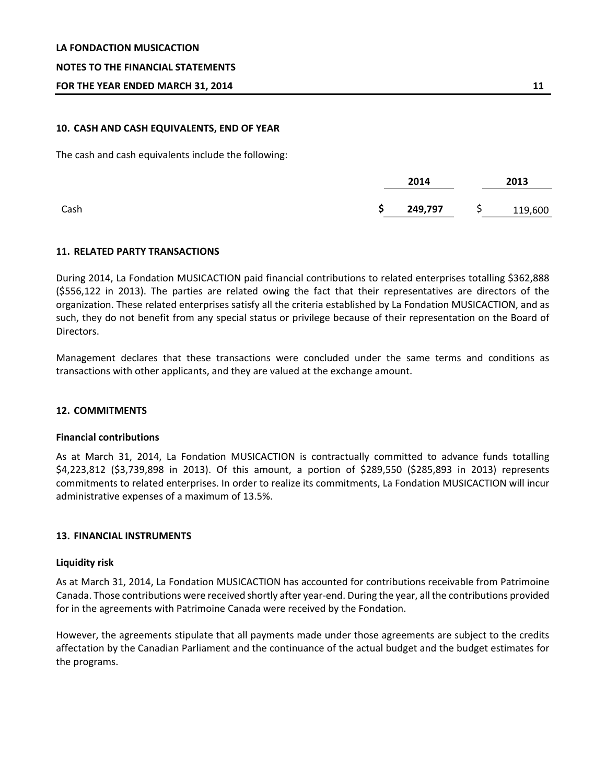#### **FOR THE YEAR ENDED MARCH 31, 2014 11**

## **10. CASH AND CASH EQUIVALENTS, END OF YEAR**

The cash and cash equivalents include the following:

|      |    | 2014    |             | 2013    |  |
|------|----|---------|-------------|---------|--|
| Cash | ς. | 249,797 | $\sim$<br>ັ | 119,600 |  |

#### **11. RELATED PARTY TRANSACTIONS**

During 2014, La Fondation MUSICACTION paid financial contributions to related enterprises totalling \$362,888 (\$556,122 in 2013). The parties are related owing the fact that their representatives are directors of the organization. These related enterprises satisfy all the criteria established by La Fondation MUSICACTION, and as such, they do not benefit from any special status or privilege because of their representation on the Board of Directors.

Management declares that these transactions were concluded under the same terms and conditions as transactions with other applicants, and they are valued at the exchange amount.

#### **12. COMMITMENTS**

#### **Financial contributions**

As at March 31, 2014, La Fondation MUSICACTION is contractually committed to advance funds totalling \$4,223,812 (\$3,739,898 in 2013). Of this amount, a portion of \$289,550 (\$285,893 in 2013) represents commitments to related enterprises. In order to realize its commitments, La Fondation MUSICACTION will incur administrative expenses of a maximum of 13.5%.

#### **13. FINANCIAL INSTRUMENTS**

#### **Liquidity risk**

As at March 31, 2014, La Fondation MUSICACTION has accounted for contributions receivable from Patrimoine Canada. Those contributions were received shortly after year‐end. During the year, all the contributions provided for in the agreements with Patrimoine Canada were received by the Fondation.

However, the agreements stipulate that all payments made under those agreements are subject to the credits affectation by the Canadian Parliament and the continuance of the actual budget and the budget estimates for the programs.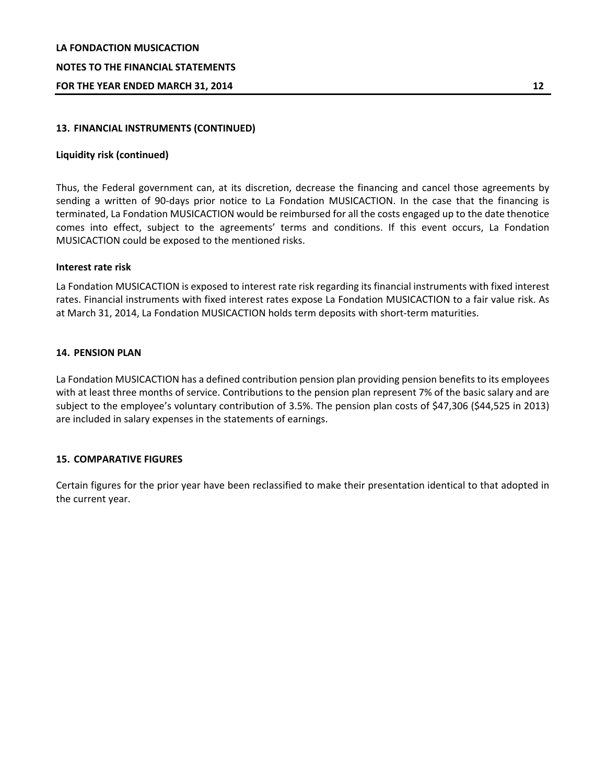## **NOTES TO THE FINANCIAL STATEMENTS**

**FOR THE YEAR ENDED MARCH 31, 2014 12**

# **13. FINANCIAL INSTRUMENTS (CONTINUED)**

# **Liquidity risk (continued)**

Thus, the Federal government can, at its discretion, decrease the financing and cancel those agreements by sending a written of 90-days prior notice to La Fondation MUSICACTION. In the case that the financing is terminated, La Fondation MUSICACTION would be reimbursed for all the costs engaged up to the date thenotice comes into effect, subject to the agreements' terms and conditions. If this event occurs, La Fondation MUSICACTION could be exposed to the mentioned risks.

#### **Interest rate risk**

La Fondation MUSICACTION is exposed to interest rate risk regarding its financial instruments with fixed interest rates. Financial instruments with fixed interest rates expose La Fondation MUSICACTION to a fair value risk. As at March 31, 2014, La Fondation MUSICACTION holds term deposits with short-term maturities.

# **14. PENSION PLAN**

La Fondation MUSICACTION has a defined contribution pension plan providing pension benefits to its employees with at least three months of service. Contributions to the pension plan represent 7% of the basic salary and are subject to the employee's voluntary contribution of 3.5%. The pension plan costs of \$47,306 (\$44,525 in 2013) are included in salary expenses in the statements of earnings.

# **15. COMPARATIVE FIGURES**

Certain figures for the prior year have been reclassified to make their presentation identical to that adopted in the current year.